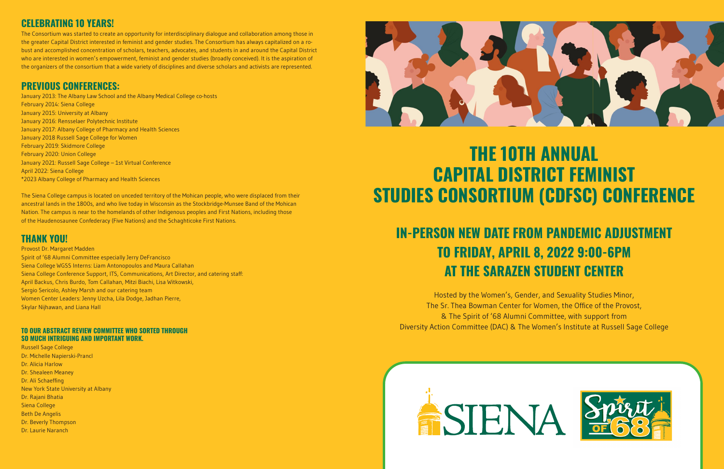# **THE 10TH ANNUAL CAPITAL DISTRICT FEMINIST STUDIES CONSORTIUM (CDFSC) CONFERENCE**

## **IN-PERSON NEW DATE FROM PANDEMIC ADJUSTMENT TO FRIDAY, APRIL 8, 2022 9:00-6PM AT THE SARAZEN STUDENT CENTER**

Hosted by the Women's, Gender, and Sexuality Studies Minor, The Sr. Thea Bowman Center for Women, the Office of the Provost, & The Spirit of '68 Alumni Committee, with support from Diversity Action Committee (DAC) & The Women's Institute at Russell Sage College





## **PREVIOUS CONFERENCES:**

January 2013: The Albany Law School and the Albany Medical College co-hosts February 2014: Siena College January 2015: University at Albany January 2016: Rensselaer Polytechnic Institute January 2017: Albany College of Pharmacy and Health Sciences January 2018 Russell Sage College for Women February 2019: Skidmore College February 2020: Union College January 2021: Russell Sage College – 1st Virtual Conference April 2022: Siena College \*2023 Albany College of Pharmacy and Health Sciences

The Siena College campus is located on unceded territory of the Mohican people, who were displaced from their ancestral lands in the 1800s, and who live today in Wisconsin as the Stockbridge-Munsee Band of the Mohican Nation. The campus is near to the homelands of other Indigenous peoples and First Nations, including those of the Haudenosaunee Confederacy (Five Nations) and the Schaghticoke First Nations.

### **THANK YOU!**

Provost Dr. Margaret Madden Spirit of '68 Alumni Committee especially Jerry DeFrancisco Siena College WGSS Interns: Liam Antonopoulos and Maura Callahan Siena College Conference Support, ITS, Communications, Art Director, and catering staff: April Backus, Chris Burdo, Tom Callahan, Mitzi Biachi, Lisa Witkowski, Sergio Sericolo, Ashley Marsh and our catering team Women Center Leaders: Jenny Uzcha, Lila Dodge, Jadhan Pierre, Skylar Nijhawan, and Liana Hall

#### **TO OUR ABSTRACT REVIEW COMMITTEE WHO SORTED THROUGH SO MUCH INTRIGUING AND IMPORTANT WORK.**

Russell Sage College Dr. Michelle Napierski-Prancl Dr. Alicia Harlow Dr. Shealeen Meaney Dr. Ali Schaeffing New York State University at Albany Dr. Rajani Bhatia Siena College Beth De Angelis Dr. Beverly Thompson Dr. Laurie Naranch



## **CELEBRATING 10 YEARS!**

The Consortium was started to create an opportunity for interdisciplinary dialogue and collaboration among those in the greater Capital District interested in feminist and gender studies. The Consortium has always capitalized on a robust and accomplished concentration of scholars, teachers, advocates, and students in and around the Capital District who are interested in women's empowerment, feminist and gender studies (broadly conceived). It is the aspiration of the organizers of the consortium that a wide variety of disciplines and diverse scholars and activists are represented.